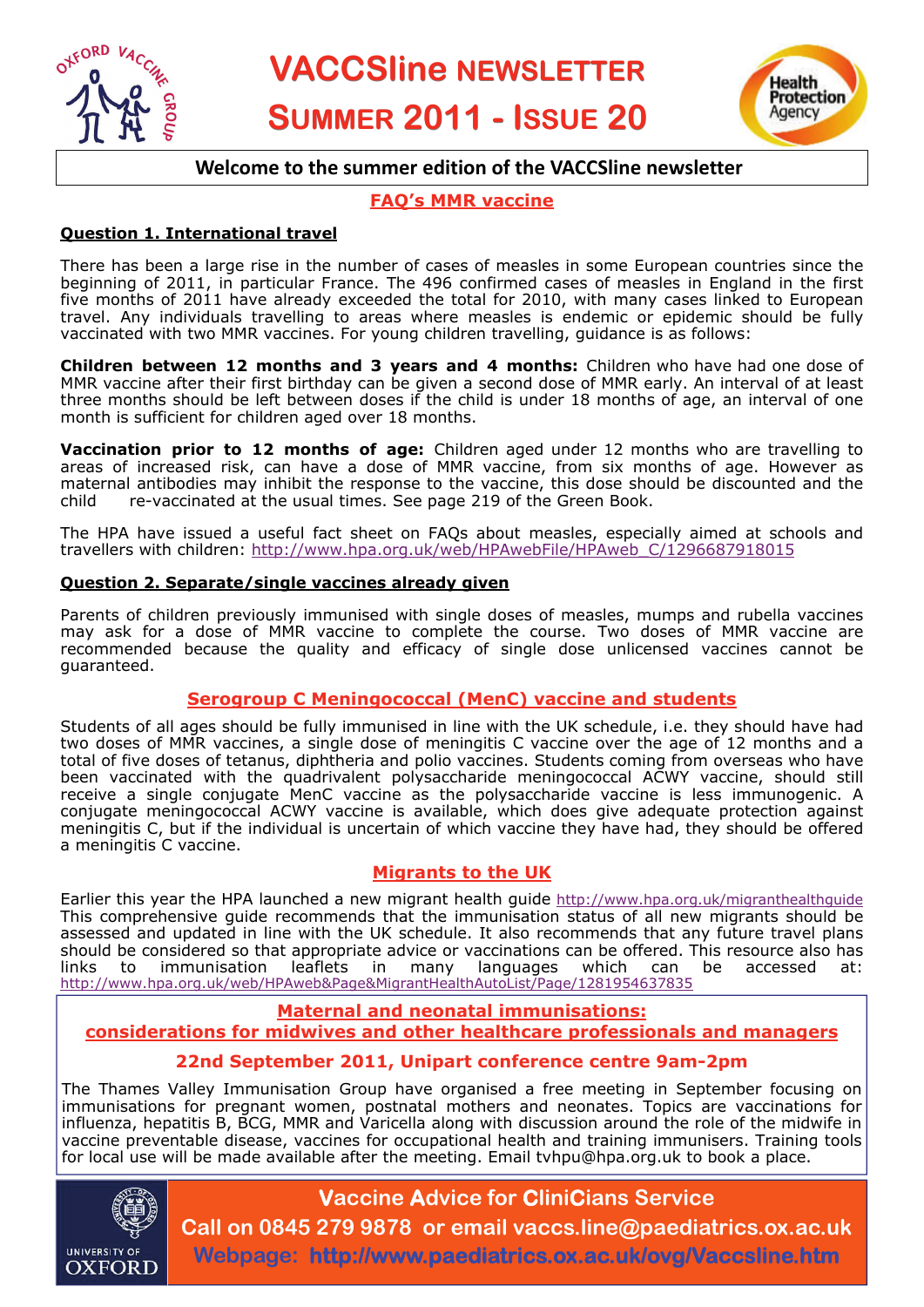



# **Welcome to the summer edition of the VACCSline newsletter**

# **FAQ's MMR vaccine**

## **Question 1. International travel**

There has been a large rise in the number of cases of measles in some European countries since the beginning of 2011, in particular France. The 496 confirmed cases of measles in England in the first five months of 2011 have already exceeded the total for 2010, with many cases linked to European travel. Any individuals travelling to areas where measles is endemic or epidemic should be fully vaccinated with two MMR vaccines. For young children travelling, guidance is as follows:

**Children between 12 months and 3 years and 4 months:** Children who have had one dose of MMR vaccine after their first birthday can be given a second dose of MMR early. An interval of at least three months should be left between doses if the child is under 18 months of age, an interval of one month is sufficient for children aged over 18 months.

**Vaccination prior to 12 months of age:** Children aged under 12 months who are travelling to areas of increased risk, can have a dose of MMR vaccine, from six months of age. However as maternal antibodies may inhibit the response to the vaccine, this dose should be discounted and the child re-vaccinated at the usual times. See page 219 of the Green Book.

The HPA have issued a useful fact sheet on FAQs about measles, especially aimed at schools and travellers with children: [http://www.hpa.org.uk/web/HPAwebFile/HPAweb\\_C/1296687918015](http://www.hpa.org.uk/web/HPAwebFile/HPAweb_C/1296687918015)

## **Question 2. Separate/single vaccines already given**

Parents of children previously immunised with single doses of measles, mumps and rubella vaccines may ask for a dose of MMR vaccine to complete the course. Two doses of MMR vaccine are recommended because the quality and efficacy of single dose unlicensed vaccines cannot be guaranteed.

## **Serogroup C Meningococcal (MenC) vaccine and students**

Students of all ages should be fully immunised in line with the UK schedule, i.e. they should have had two doses of MMR vaccines, a single dose of meningitis C vaccine over the age of 12 months and a total of five doses of tetanus, diphtheria and polio vaccines. Students coming from overseas who have been vaccinated with the quadrivalent polysaccharide meningococcal ACWY vaccine, should still receive a single conjugate MenC vaccine as the polysaccharide vaccine is less immunogenic. A conjugate meningococcal ACWY vaccine is available, which does give adequate protection against meningitis C, but if the individual is uncertain of which vaccine they have had, they should be offered a meningitis C vaccine.

## **Migrants to the UK**

Earlier this year the HPA launched a new migrant health guide <http://www.hpa.org.uk/migranthealthguide> This comprehensive guide recommends that the immunisation status of all new migrants should be assessed and updated in line with the UK schedule. It also recommends that any future travel plans should be considered so that appropriate advice or vaccinations can be offered. This resource also has links to immunisation leaflets in many languages which can be accessed at: <http://www.hpa.org.uk/web/HPAweb&Page&MigrantHealthAutoList/Page/1281954637835>

# **Maternal and neonatal immunisations: considerations for midwives and other healthcare professionals and managers**

## **22nd September 2011, Unipart conference centre 9am-2pm**

The Thames Valley Immunisation Group have organised a free meeting in September focusing on immunisations for pregnant women, postnatal mothers and neonates. Topics are vaccinations for influenza, hepatitis B, BCG, MMR and Varicella along with discussion around the role of the midwife in vaccine preventable disease, vaccines for occupational health and training immunisers. Training tools for local use will be made available after the meeting. Email tvhpu@hpa.org.uk to book a place.



# **Vaccine Advice for CliniCians Service Call on 0845 279 9878 or email vaccs.line@paediatrics.ox.ac.uk Webpage: http://www.paediatrics.ox.ac.uk/ovg/Vaccsline.htm**